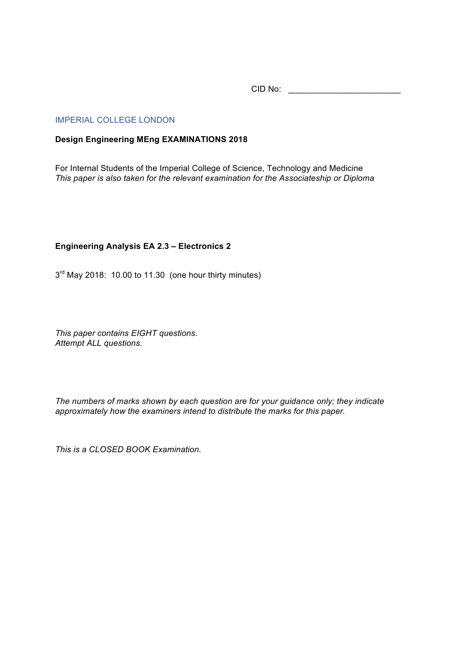CID No: \_\_\_\_\_\_\_\_\_\_\_\_\_\_\_\_\_\_\_\_\_\_\_\_

## IMPERIAL COLLEGE LONDON

## **Design Engineering MEng EXAMINATIONS 2018**

For Internal Students of the Imperial College of Science, Technology and Medicine *This paper is also taken for the relevant examination for the Associateship or Diploma*

## **Engineering Analysis EA 2.3 – Electronics 2**

 $3<sup>rd</sup>$  May 2018: 10.00 to 11.30 (one hour thirty minutes)

*This paper contains EIGHT questions. Attempt ALL questions.* 

*The numbers of marks shown by each question are for your guidance only; they indicate approximately how the examiners intend to distribute the marks for this paper.*

*This is a CLOSED BOOK Examination.*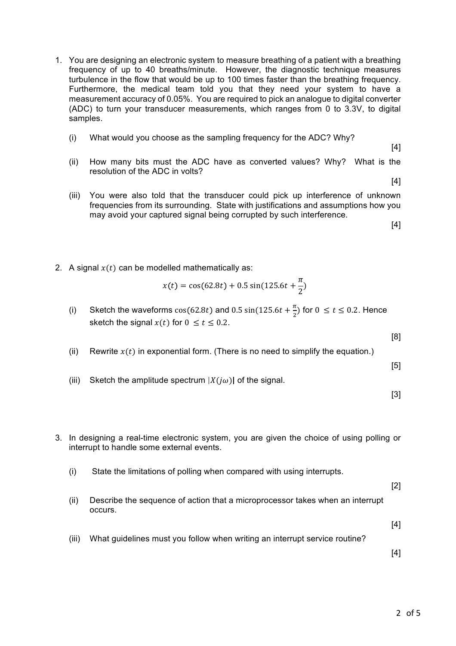- 1. You are designing an electronic system to measure breathing of a patient with a breathing frequency of up to 40 breaths/minute. However, the diagnostic technique measures turbulence in the flow that would be up to 100 times faster than the breathing frequency. Furthermore, the medical team told you that they need your system to have a measurement accuracy of 0.05%. You are required to pick an analogue to digital converter (ADC) to turn your transducer measurements, which ranges from 0 to 3.3V, to digital samples.
	- (i) What would you choose as the sampling frequency for the ADC? Why?

[4]

[4]

- (ii) How many bits must the ADC have as converted values? Why? What is the resolution of the ADC in volts?
- (iii) You were also told that the transducer could pick up interference of unknown frequencies from its surrounding. State with justifications and assumptions how you may avoid your captured signal being corrupted by such interference.

[4]

2. A signal  $x(t)$  can be modelled mathematically as:

$$
x(t) = \cos(62.8t) + 0.5\sin(125.6t + \frac{\pi}{2})
$$

(i) Sketch the waveforms  $cos(62.8t)$  and 0.5  $sin(125.6t + \frac{\pi}{2})$  for  $0 \le t \le 0.2$ . Hence sketch the signal  $x(t)$  for  $0 \le t \le 0.2$ .

[8]

(ii) Rewrite  $x(t)$  in exponential form. (There is no need to simplify the equation.)

[5]

(iii) Sketch the amplitude spectrum  $|X(j\omega)|$  of the signal.

[3]

- 3. In designing a real-time electronic system, you are given the choice of using polling or interrupt to handle some external events.
	- (i) State the limitations of polling when compared with using interrupts.
	- (ii) Describe the sequence of action that a microprocessor takes when an interrupt occurs.

[4]

[2]

(iii) What guidelines must you follow when writing an interrupt service routine?

[4]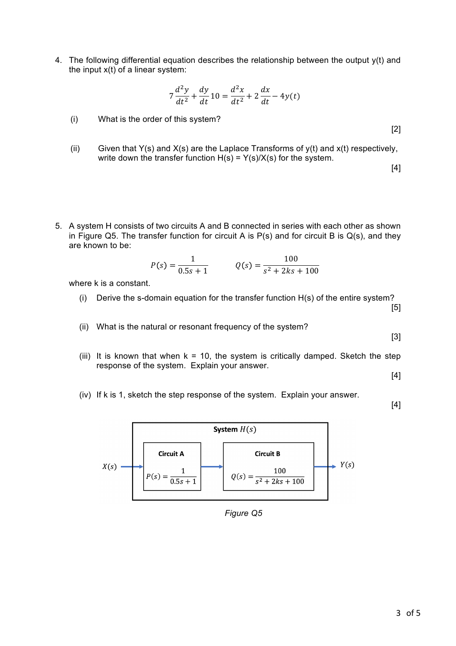4. The following differential equation describes the relationship between the output y(t) and the input  $x(t)$  of a linear system:

$$
7\frac{d^2y}{dt^2} + \frac{dy}{dt}10 = \frac{d^2x}{dt^2} + 2\frac{dx}{dt} - 4y(t)
$$

- (i) What is the order of this system?
- (ii) Given that  $Y(s)$  and  $X(s)$  are the Laplace Transforms of  $y(t)$  and  $x(t)$  respectively, write down the transfer function  $H(s) = Y(s)/X(s)$  for the system.
- 5. A system H consists of two circuits A and B connected in series with each other as shown in Figure Q5. The transfer function for circuit A is  $P(s)$  and for circuit B is  $Q(s)$ , and they are known to be:

$$
P(s) = \frac{1}{0.5s + 1} \qquad Q(s) = \frac{100}{s^2 + 2ks + 100}
$$

where k is a constant.

- (i) Derive the s-domain equation for the transfer function H(s) of the entire system? [5]
- (ii) What is the natural or resonant frequency of the system?

[3]

[2]

[4]

(iii) It is known that when  $k = 10$ , the system is critically damped. Sketch the step response of the system. Explain your answer.

[4]

(iv) If k is 1, sketch the step response of the system. Explain your answer.

[4]



*Figure Q5*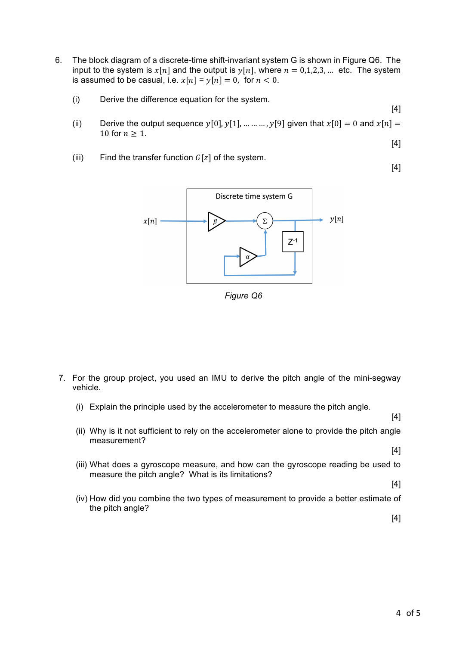- 6. The block diagram of a discrete-time shift-invariant system G is shown in Figure Q6. The input to the system is  $x[n]$  and the output is  $y[n]$ , where  $n = 0,1,2,3,...$  etc. The system is assumed to be casual, i.e.  $x[n] = y[n] = 0$ , for  $n < 0$ .
	- (i) Derive the difference equation for the system.

[4]

[4]

[4]

- (ii) Derive the output sequence  $y[0], y[1], ..., ..., y[9]$  given that  $x[0] = 0$  and  $x[n] =$ 10 for  $n > 1$ .
- (iii) Find the transfer function  $G[z]$  of the system.



*Figure Q6*

- 7. For the group project, you used an IMU to derive the pitch angle of the mini-segway vehicle.
	- (i) Explain the principle used by the accelerometer to measure the pitch angle.

(ii) Why is it not sufficient to rely on the accelerometer alone to provide the pitch angle measurement? [4]

- (iii) What does a gyroscope measure, and how can the gyroscope reading be used to measure the pitch angle? What is its limitations?
- (iv) How did you combine the two types of measurement to provide a better estimate of the pitch angle?

[4]

[4]

[4]